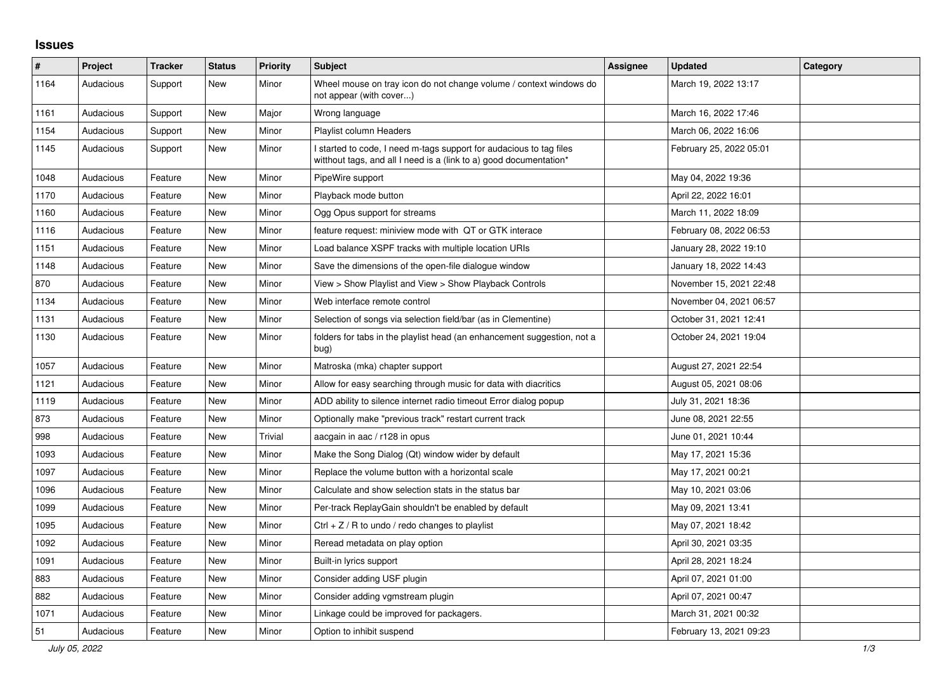## **Issues**

| $\sharp$ | Project   | <b>Tracker</b> | <b>Status</b> | <b>Priority</b> | <b>Subject</b>                                                                                                                            | Assignee | <b>Updated</b>          | Category |
|----------|-----------|----------------|---------------|-----------------|-------------------------------------------------------------------------------------------------------------------------------------------|----------|-------------------------|----------|
| 1164     | Audacious | Support        | <b>New</b>    | Minor           | Wheel mouse on tray icon do not change volume / context windows do<br>not appear (with cover)                                             |          | March 19, 2022 13:17    |          |
| 1161     | Audacious | Support        | New           | Major           | Wrong language                                                                                                                            |          | March 16, 2022 17:46    |          |
| 1154     | Audacious | Support        | New           | Minor           | Playlist column Headers                                                                                                                   |          | March 06, 2022 16:06    |          |
| 1145     | Audacious | Support        | New           | Minor           | I started to code, I need m-tags support for audacious to tag files<br>witthout tags, and all I need is a (link to a) good documentation* |          | February 25, 2022 05:01 |          |
| 1048     | Audacious | Feature        | <b>New</b>    | Minor           | PipeWire support                                                                                                                          |          | May 04, 2022 19:36      |          |
| 1170     | Audacious | Feature        | New           | Minor           | Playback mode button                                                                                                                      |          | April 22, 2022 16:01    |          |
| 1160     | Audacious | Feature        | <b>New</b>    | Minor           | Ogg Opus support for streams                                                                                                              |          | March 11, 2022 18:09    |          |
| 1116     | Audacious | Feature        | New           | Minor           | feature request: miniview mode with QT or GTK interace                                                                                    |          | February 08, 2022 06:53 |          |
| 1151     | Audacious | Feature        | <b>New</b>    | Minor           | Load balance XSPF tracks with multiple location URIs                                                                                      |          | January 28, 2022 19:10  |          |
| 1148     | Audacious | Feature        | <b>New</b>    | Minor           | Save the dimensions of the open-file dialogue window                                                                                      |          | January 18, 2022 14:43  |          |
| 870      | Audacious | Feature        | <b>New</b>    | Minor           | View > Show Playlist and View > Show Playback Controls                                                                                    |          | November 15, 2021 22:48 |          |
| 1134     | Audacious | Feature        | <b>New</b>    | Minor           | Web interface remote control                                                                                                              |          | November 04, 2021 06:57 |          |
| 1131     | Audacious | Feature        | New           | Minor           | Selection of songs via selection field/bar (as in Clementine)                                                                             |          | October 31, 2021 12:41  |          |
| 1130     | Audacious | Feature        | <b>New</b>    | Minor           | folders for tabs in the playlist head (an enhancement suggestion, not a<br>bug)                                                           |          | October 24, 2021 19:04  |          |
| 1057     | Audacious | Feature        | New           | Minor           | Matroska (mka) chapter support                                                                                                            |          | August 27, 2021 22:54   |          |
| 1121     | Audacious | Feature        | <b>New</b>    | Minor           | Allow for easy searching through music for data with diacritics                                                                           |          | August 05, 2021 08:06   |          |
| 1119     | Audacious | Feature        | New           | Minor           | ADD ability to silence internet radio timeout Error dialog popup                                                                          |          | July 31, 2021 18:36     |          |
| 873      | Audacious | Feature        | New           | Minor           | Optionally make "previous track" restart current track                                                                                    |          | June 08, 2021 22:55     |          |
| 998      | Audacious | Feature        | <b>New</b>    | Trivial         | aacgain in aac / r128 in opus                                                                                                             |          | June 01, 2021 10:44     |          |
| 1093     | Audacious | Feature        | <b>New</b>    | Minor           | Make the Song Dialog (Qt) window wider by default                                                                                         |          | May 17, 2021 15:36      |          |
| 1097     | Audacious | Feature        | <b>New</b>    | Minor           | Replace the volume button with a horizontal scale                                                                                         |          | May 17, 2021 00:21      |          |
| 1096     | Audacious | Feature        | New           | Minor           | Calculate and show selection stats in the status bar                                                                                      |          | May 10, 2021 03:06      |          |
| 1099     | Audacious | Feature        | <b>New</b>    | Minor           | Per-track ReplayGain shouldn't be enabled by default                                                                                      |          | May 09, 2021 13:41      |          |
| 1095     | Audacious | Feature        | <b>New</b>    | Minor           | Ctrl $+$ Z / R to undo / redo changes to playlist                                                                                         |          | May 07, 2021 18:42      |          |
| 1092     | Audacious | Feature        | <b>New</b>    | Minor           | Reread metadata on play option                                                                                                            |          | April 30, 2021 03:35    |          |
| 1091     | Audacious | Feature        | New           | Minor           | Built-in lyrics support                                                                                                                   |          | April 28, 2021 18:24    |          |
| 883      | Audacious | Feature        | <b>New</b>    | Minor           | Consider adding USF plugin                                                                                                                |          | April 07, 2021 01:00    |          |
| 882      | Audacious | Feature        | New           | Minor           | Consider adding vgmstream plugin                                                                                                          |          | April 07, 2021 00:47    |          |
| 1071     | Audacious | Feature        | New           | Minor           | Linkage could be improved for packagers.                                                                                                  |          | March 31, 2021 00:32    |          |
| 51       | Audacious | Feature        | <b>New</b>    | Minor           | Option to inhibit suspend                                                                                                                 |          | February 13, 2021 09:23 |          |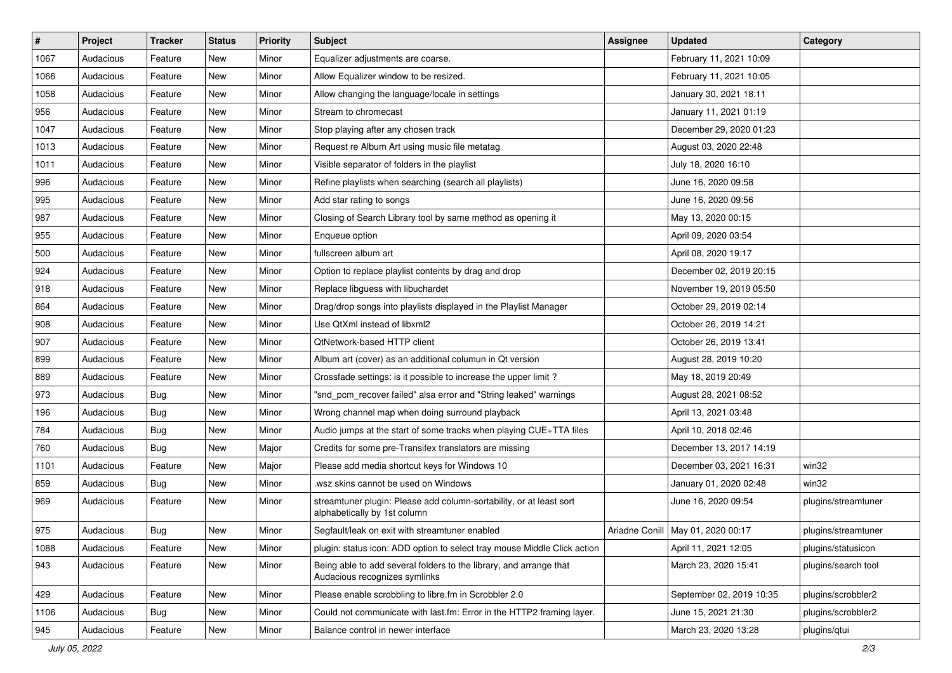| $\vert$ # | Project   | <b>Tracker</b> | <b>Status</b> | <b>Priority</b> | <b>Subject</b>                                                                                      | <b>Assignee</b> | <b>Updated</b>                      | Category            |
|-----------|-----------|----------------|---------------|-----------------|-----------------------------------------------------------------------------------------------------|-----------------|-------------------------------------|---------------------|
| 1067      | Audacious | Feature        | New           | Minor           | Equalizer adjustments are coarse.                                                                   |                 | February 11, 2021 10:09             |                     |
| 1066      | Audacious | Feature        | New           | Minor           | Allow Equalizer window to be resized.                                                               |                 | February 11, 2021 10:05             |                     |
| 1058      | Audacious | Feature        | New           | Minor           | Allow changing the language/locale in settings                                                      |                 | January 30, 2021 18:11              |                     |
| 956       | Audacious | Feature        | New           | Minor           | Stream to chromecast                                                                                |                 | January 11, 2021 01:19              |                     |
| 1047      | Audacious | Feature        | New           | Minor           | Stop playing after any chosen track                                                                 |                 | December 29, 2020 01:23             |                     |
| 1013      | Audacious | Feature        | New           | Minor           | Request re Album Art using music file metatag                                                       |                 | August 03, 2020 22:48               |                     |
| 1011      | Audacious | Feature        | New           | Minor           | Visible separator of folders in the playlist                                                        |                 | July 18, 2020 16:10                 |                     |
| 996       | Audacious | Feature        | New           | Minor           | Refine playlists when searching (search all playlists)                                              |                 | June 16, 2020 09:58                 |                     |
| 995       | Audacious | Feature        | New           | Minor           | Add star rating to songs                                                                            |                 | June 16, 2020 09:56                 |                     |
| 987       | Audacious | Feature        | New           | Minor           | Closing of Search Library tool by same method as opening it                                         |                 | May 13, 2020 00:15                  |                     |
| 955       | Audacious | Feature        | New           | Minor           | Enqueue option                                                                                      |                 | April 09, 2020 03:54                |                     |
| 500       | Audacious | Feature        | New           | Minor           | fullscreen album art                                                                                |                 | April 08, 2020 19:17                |                     |
| 924       | Audacious | Feature        | New           | Minor           | Option to replace playlist contents by drag and drop                                                |                 | December 02, 2019 20:15             |                     |
| 918       | Audacious | Feature        | New           | Minor           | Replace libguess with libuchardet                                                                   |                 | November 19, 2019 05:50             |                     |
| 864       | Audacious | Feature        | New           | Minor           | Drag/drop songs into playlists displayed in the Playlist Manager                                    |                 | October 29, 2019 02:14              |                     |
| 908       | Audacious | Feature        | New           | Minor           | Use QtXml instead of libxml2                                                                        |                 | October 26, 2019 14:21              |                     |
| 907       | Audacious | Feature        | New           | Minor           | <b>QtNetwork-based HTTP client</b>                                                                  |                 | October 26, 2019 13:41              |                     |
| 899       | Audacious | Feature        | New           | Minor           | Album art (cover) as an additional columun in Qt version                                            |                 | August 28, 2019 10:20               |                     |
| 889       | Audacious | Feature        | New           | Minor           | Crossfade settings: is it possible to increase the upper limit?                                     |                 | May 18, 2019 20:49                  |                     |
| 973       | Audacious | <b>Bug</b>     | New           | Minor           | "snd_pcm_recover failed" alsa error and "String leaked" warnings                                    |                 | August 28, 2021 08:52               |                     |
| 196       | Audacious | Bug            | New           | Minor           | Wrong channel map when doing surround playback                                                      |                 | April 13, 2021 03:48                |                     |
| 784       | Audacious | <b>Bug</b>     | New           | Minor           | Audio jumps at the start of some tracks when playing CUE+TTA files                                  |                 | April 10, 2018 02:46                |                     |
| 760       | Audacious | <b>Bug</b>     | New           | Major           | Credits for some pre-Transifex translators are missing                                              |                 | December 13, 2017 14:19             |                     |
| 1101      | Audacious | Feature        | New           | Major           | Please add media shortcut keys for Windows 10                                                       |                 | December 03, 2021 16:31             | win32               |
| 859       | Audacious | <b>Bug</b>     | New           | Minor           | .wsz skins cannot be used on Windows                                                                |                 | January 01, 2020 02:48              | win32               |
| 969       | Audacious | Feature        | New           | Minor           | streamtuner plugin: Please add column-sortability, or at least sort<br>alphabetically by 1st column |                 | June 16, 2020 09:54                 | plugins/streamtuner |
| 975       | Audacious | <b>Bug</b>     | New           | Minor           | Segfault/leak on exit with streamtuner enabled                                                      |                 | Ariadne Conill   May 01, 2020 00:17 | plugins/streamtuner |
| 1088      | Audacious | Feature        | New           | Minor           | plugin: status icon: ADD option to select tray mouse Middle Click action                            |                 | April 11, 2021 12:05                | plugins/statusicon  |
| 943       | Audacious | Feature        | New           | Minor           | Being able to add several folders to the library, and arrange that<br>Audacious recognizes symlinks |                 | March 23, 2020 15:41                | plugins/search tool |
| 429       | Audacious | Feature        | New           | Minor           | Please enable scrobbling to libre.fm in Scrobbler 2.0                                               |                 | September 02, 2019 10:35            | plugins/scrobbler2  |
| 1106      | Audacious | <b>Bug</b>     | New           | Minor           | Could not communicate with last.fm: Error in the HTTP2 framing layer.                               |                 | June 15, 2021 21:30                 | plugins/scrobbler2  |
| 945       | Audacious | Feature        | New           | Minor           | Balance control in newer interface                                                                  |                 | March 23, 2020 13:28                | plugins/qtui        |